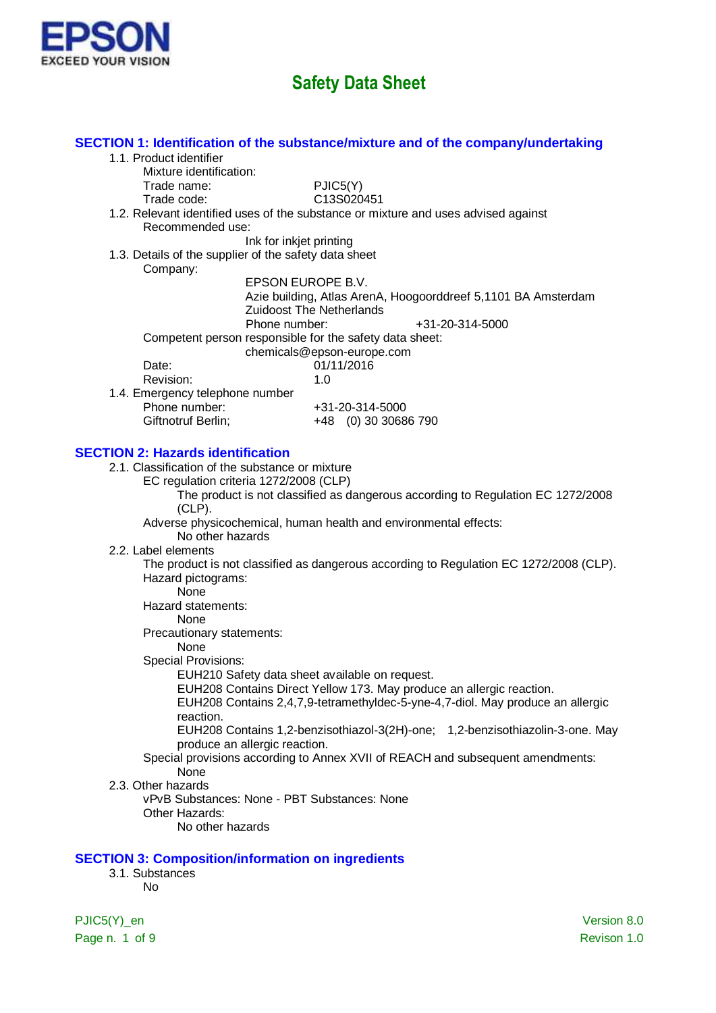

| SECTION 1: Identification of the substance/mixture and of the company/undertaking                                                                      |  |
|--------------------------------------------------------------------------------------------------------------------------------------------------------|--|
| 1.1. Product identifier                                                                                                                                |  |
| Mixture identification:                                                                                                                                |  |
| PJIC5(Y)<br>Trade name:<br>Trade code:<br>C13S020451                                                                                                   |  |
| 1.2. Relevant identified uses of the substance or mixture and uses advised against                                                                     |  |
| Recommended use:                                                                                                                                       |  |
| Ink for inkjet printing                                                                                                                                |  |
| 1.3. Details of the supplier of the safety data sheet                                                                                                  |  |
| Company:                                                                                                                                               |  |
| EPSON EUROPE B.V.                                                                                                                                      |  |
| Azie building, Atlas ArenA, Hoogoorddreef 5,1101 BA Amsterdam                                                                                          |  |
| <b>Zuidoost The Netherlands</b>                                                                                                                        |  |
| Phone number:<br>+31-20-314-5000                                                                                                                       |  |
| Competent person responsible for the safety data sheet:                                                                                                |  |
| chemicals@epson-europe.com                                                                                                                             |  |
| 01/11/2016<br>Date:                                                                                                                                    |  |
| Revision:<br>1.0                                                                                                                                       |  |
| 1.4. Emergency telephone number                                                                                                                        |  |
| Phone number:<br>+31-20-314-5000                                                                                                                       |  |
| Giftnotruf Berlin;<br>+48 (0) 30 30686 790                                                                                                             |  |
|                                                                                                                                                        |  |
| <b>SECTION 2: Hazards identification</b><br>2.1. Classification of the substance or mixture                                                            |  |
| EC regulation criteria 1272/2008 (CLP)                                                                                                                 |  |
| The product is not classified as dangerous according to Regulation EC 1272/2008                                                                        |  |
| $(CLP)$ .                                                                                                                                              |  |
| Adverse physicochemical, human health and environmental effects:                                                                                       |  |
| No other hazards                                                                                                                                       |  |
| 2.2. Label elements                                                                                                                                    |  |
| The product is not classified as dangerous according to Regulation EC 1272/2008 (CLP).                                                                 |  |
| Hazard pictograms:                                                                                                                                     |  |
| <b>None</b>                                                                                                                                            |  |
| Hazard statements:                                                                                                                                     |  |
| None                                                                                                                                                   |  |
| Precautionary statements:                                                                                                                              |  |
| None                                                                                                                                                   |  |
| <b>Special Provisions:</b>                                                                                                                             |  |
| EUH210 Safety data sheet available on request.                                                                                                         |  |
| EUH208 Contains Direct Yellow 173. May produce an allergic reaction.<br>EUH208 Contains 2,4,7,9-tetramethyldec-5-yne-4,7-diol. May produce an allergic |  |
| reaction.                                                                                                                                              |  |
| EUH208 Contains 1,2-benzisothiazol-3(2H)-one; 1,2-benzisothiazolin-3-one. May                                                                          |  |
| produce an allergic reaction.                                                                                                                          |  |
| Special provisions according to Annex XVII of REACH and subsequent amendments:                                                                         |  |
| None                                                                                                                                                   |  |
| 2.3. Other hazards                                                                                                                                     |  |
| vPvB Substances: None - PBT Substances: None                                                                                                           |  |
| Other Hazards:                                                                                                                                         |  |
| No other hazards                                                                                                                                       |  |
|                                                                                                                                                        |  |
| <b>SECTION 3: Composition/information on ingredients</b>                                                                                               |  |
| 3.1. Substances                                                                                                                                        |  |
| <b>No</b>                                                                                                                                              |  |
|                                                                                                                                                        |  |
| PJIC5(Y)_en<br>Version 8.0                                                                                                                             |  |

Page n. 1 of 9 Revison 1.0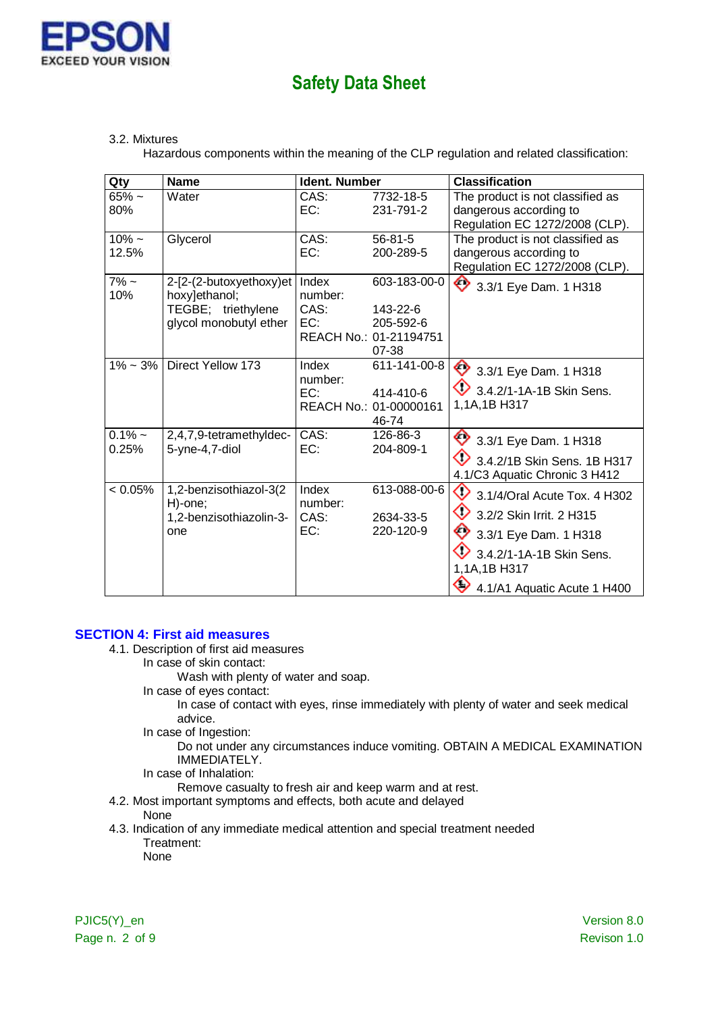

#### 3.2. Mixtures

Hazardous components within the meaning of the CLP regulation and related classification:

| Qty                | <b>Name</b>                               | Ident. Number    |                        | <b>Classification</b>                                        |
|--------------------|-------------------------------------------|------------------|------------------------|--------------------------------------------------------------|
| $65% \sim$<br>80%  | Water                                     | CAS:<br>EC:      | 7732-18-5<br>231-791-2 | The product is not classified as<br>dangerous according to   |
|                    |                                           |                  |                        | Regulation EC 1272/2008 (CLP).                               |
| $10\% -$           | Glycerol                                  | CAS:             | $56 - 81 - 5$          | The product is not classified as                             |
| 12.5%              |                                           | EC:              | 200-289-5              | dangerous according to<br>Regulation EC 1272/2008 (CLP).     |
| $7\%$ ~<br>10%     | 2-[2-(2-butoxyethoxy)et<br>hoxy]ethanol;  | Index<br>number: | 603-183-00-0           | ◇<br>3.3/1 Eye Dam. 1 H318                                   |
|                    | TEGBE; triethylene                        | CAS:<br>EC:      | 143-22-6<br>205-592-6  |                                                              |
|                    | glycol monobutyl ether                    |                  | REACH No.: 01-21194751 |                                                              |
|                    |                                           |                  | 07-38                  |                                                              |
| $1\% \sim 3\%$     | Direct Yellow 173                         | Index<br>number: | 611-141-00-8           | 3.3/1 Eye Dam. 1 H318                                        |
|                    |                                           | EC:              | 414-410-6              | 3.4.2/1-1A-1B Skin Sens.                                     |
|                    |                                           |                  | REACH No.: 01-00000161 | 1,1A,1B H317                                                 |
|                    |                                           |                  | 46-74                  |                                                              |
| $0.1\%$ ~<br>0.25% | 2,4,7,9-tetramethyldec-<br>5-yne-4,7-diol | CAS:<br>EC:      | 126-86-3<br>204-809-1  | $\bigotimes$ 3.3/1 Eye Dam. 1 H318                           |
|                    |                                           |                  |                        | 3.4.2/1B Skin Sens. 1B H317<br>4.1/C3 Aquatic Chronic 3 H412 |
| $< 0.05\%$         | 1,2-benzisothiazol-3(2<br>H)-one;         | Index<br>number: | 613-088-00-6           | $\bigcirc$ 3.1/4/Oral Acute Tox. 4 H302                      |
|                    | 1,2-benzisothiazolin-3-                   | CAS:             | 2634-33-5              | ◇<br>3.2/2 Skin Irrit. 2 H315                                |
|                    | one                                       | EC:              | 220-120-9              | ◇<br>3.3/1 Eye Dam. 1 H318                                   |
|                    |                                           |                  |                        | 3.4.2/1-1A-1B Skin Sens.<br>1,1A,1B H317                     |
|                    |                                           |                  |                        | ♦<br>4.1/A1 Aquatic Acute 1 H400                             |

#### **SECTION 4: First aid measures**

- 4.1. Description of first aid measures
	- In case of skin contact:

Wash with plenty of water and soap.

In case of eyes contact:

In case of contact with eyes, rinse immediately with plenty of water and seek medical advice.

In case of Ingestion:

Do not under any circumstances induce vomiting. OBTAIN A MEDICAL EXAMINATION IMMEDIATELY.

In case of Inhalation:

Remove casualty to fresh air and keep warm and at rest.

4.2. Most important symptoms and effects, both acute and delayed

None

4.3. Indication of any immediate medical attention and special treatment needed Treatment:

None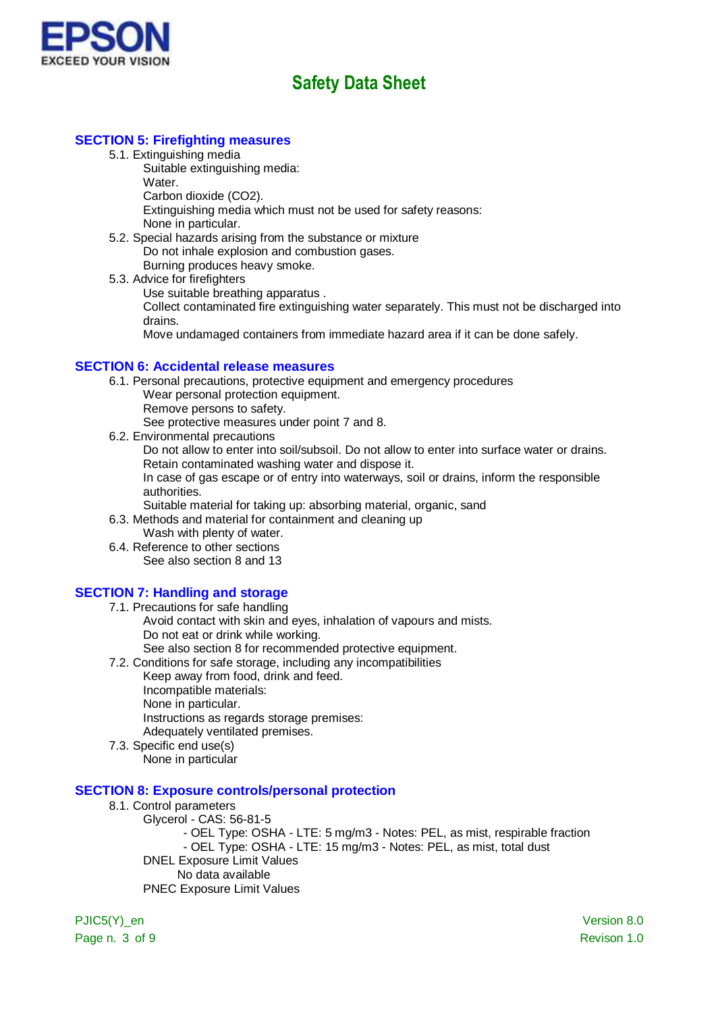

#### **SECTION 5: Firefighting measures**

- 5.1. Extinguishing media
	- Suitable extinguishing media:
	- Water.

Carbon dioxide (CO2).

Extinguishing media which must not be used for safety reasons: None in particular.

- 5.2. Special hazards arising from the substance or mixture Do not inhale explosion and combustion gases. Burning produces heavy smoke.
- 5.3. Advice for firefighters

Use suitable breathing apparatus .

Collect contaminated fire extinguishing water separately. This must not be discharged into drains.

Move undamaged containers from immediate hazard area if it can be done safely.

#### **SECTION 6: Accidental release measures**

- 6.1. Personal precautions, protective equipment and emergency procedures
	- Wear personal protection equipment.
	- Remove persons to safety.

See protective measures under point 7 and 8.

6.2. Environmental precautions

Do not allow to enter into soil/subsoil. Do not allow to enter into surface water or drains. Retain contaminated washing water and dispose it.

In case of gas escape or of entry into waterways, soil or drains, inform the responsible authorities.

Suitable material for taking up: absorbing material, organic, sand

6.3. Methods and material for containment and cleaning up

- Wash with plenty of water.
- 6.4. Reference to other sections See also section 8 and 13

### **SECTION 7: Handling and storage**

- 7.1. Precautions for safe handling Avoid contact with skin and eyes, inhalation of vapours and mists. Do not eat or drink while working. See also section 8 for recommended protective equipment.
- 7.2. Conditions for safe storage, including any incompatibilities
	- Keep away from food, drink and feed. Incompatible materials: None in particular. Instructions as regards storage premises: Adequately ventilated premises.
- 7.3. Specific end use(s) None in particular

#### **SECTION 8: Exposure controls/personal protection**

- 8.1. Control parameters
	- Glycerol CAS: 56-81-5

- OEL Type: OSHA - LTE: 5 mg/m3 - Notes: PEL, as mist, respirable fraction - OEL Type: OSHA - LTE: 15 mg/m3 - Notes: PEL, as mist, total dust DNEL Exposure Limit Values No data available

PNEC Exposure Limit Values

Page n. 3 of 9 Revison 1.0

PJIC5(Y) en Version 8.0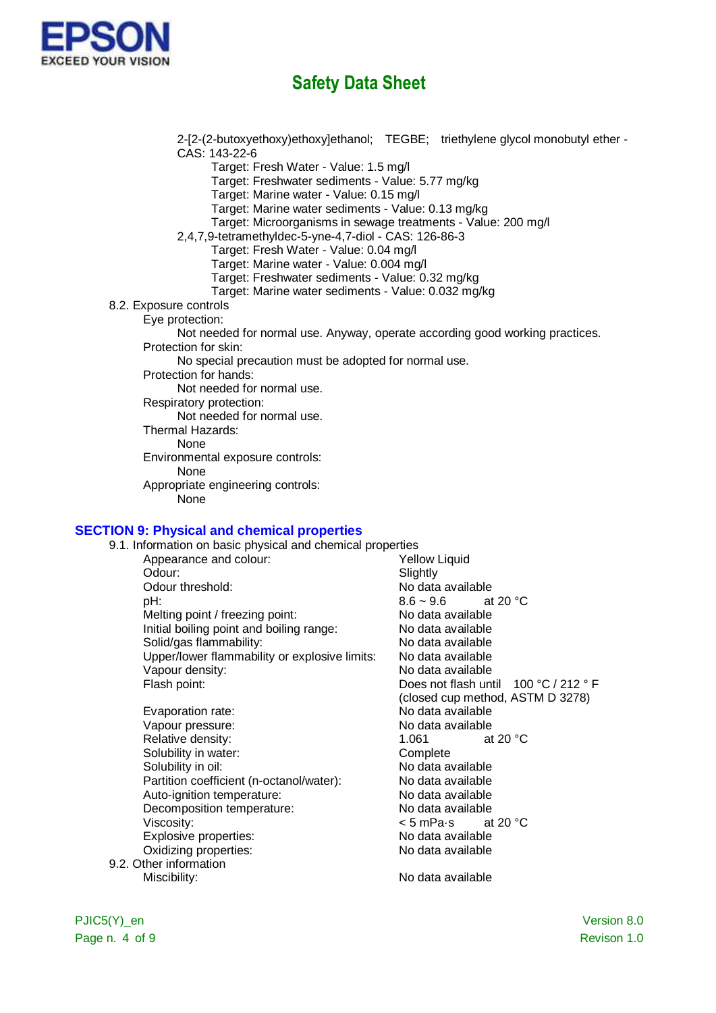

2-[2-(2-butoxyethoxy)ethoxy]ethanol; TEGBE; triethylene glycol monobutyl ether - CAS: 143-22-6

Target: Fresh Water - Value: 1.5 mg/l

Target: Freshwater sediments - Value: 5.77 mg/kg

Target: Marine water - Value: 0.15 mg/l

Target: Marine water sediments - Value: 0.13 mg/kg

Target: Microorganisms in sewage treatments - Value: 200 mg/l

2,4,7,9-tetramethyldec-5-yne-4,7-diol - CAS: 126-86-3

Target: Fresh Water - Value: 0.04 mg/l

Target: Marine water - Value: 0.004 mg/l

Target: Freshwater sediments - Value: 0.32 mg/kg

Target: Marine water sediments - Value: 0.032 mg/kg

8.2. Exposure controls

Eye protection:

Not needed for normal use. Anyway, operate according good working practices. Protection for skin:

No special precaution must be adopted for normal use.

Protection for hands:

Not needed for normal use.

Respiratory protection:

Not needed for normal use.

Thermal Hazards:

None

Environmental exposure controls:

None

Appropriate engineering controls:

None

#### **SECTION 9: Physical and chemical properties**

9.1. Information on basic physical and chemical properties Appearance and colour: Yellow Liquid Odour: Slightly<br>
Odour threshold: Slightly No data Odour threshold:  $\begin{array}{ccc}\n\text{Odour threshold:} \\
\text{pH:} \\
\end{array}$  No data available  $8.6 \sim 9.6$  at 20 °C Melting point / freezing point: No data available Initial boiling point and boiling range: No data available Solid/gas flammability: Upper/lower flammability or explosive limits: No data available Vapour density:<br>
Flash point:<br>
Flash point:<br>
No data available<br>
Does not flash unt Does not flash until 100 °C / 212 ° F (closed cup method, ASTM D 3278) Evaporation rate: Vapour pressure: No data available Relative density: 1.061 at 20 °C Solubility in water: Complete Solubility in oil: No data available Partition coefficient (n-octanol/water): No data available Auto-ignition temperature: No data available<br>
Decomposition temperature: No data available Decomposition temperature: Viscosity:  $\leq$  5 mPa·s at 20 °C Explosive properties: No data available Oxidizing properties: No data available 9.2. Other information Miscibility: No data available

Page n. 4 of 9 Revison 1.0

PJIC5(Y) en Version 8.0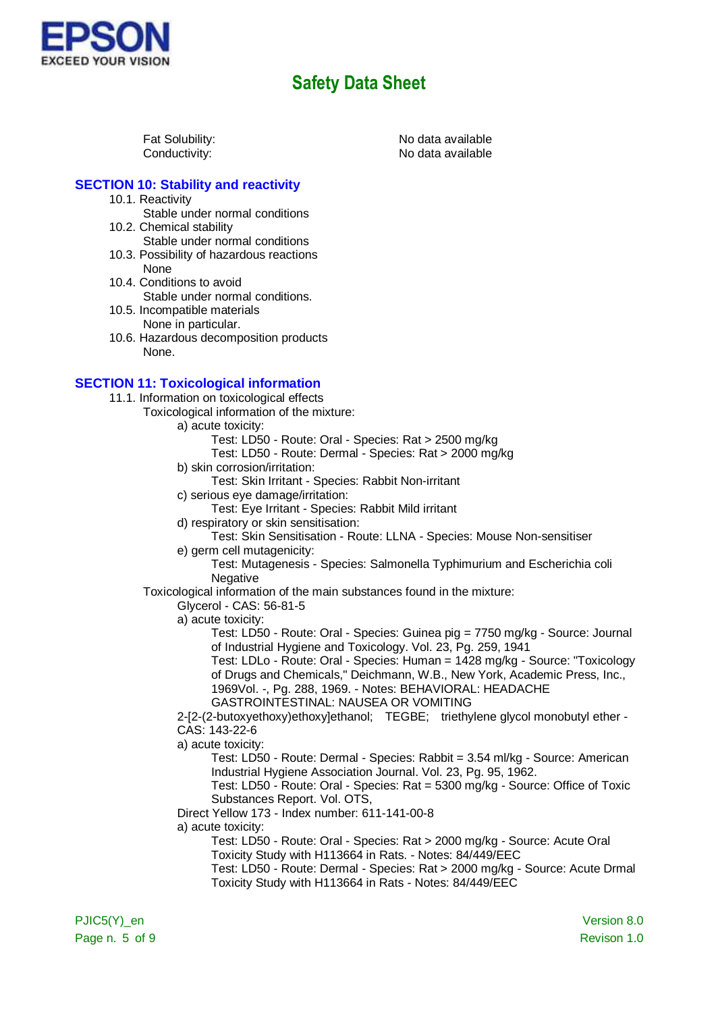

Fat Solubility: No data available Conductivity: Conductivity: Conductivity:

#### **SECTION 10: Stability and reactivity**

- 10.1. Reactivity
- Stable under normal conditions 10.2. Chemical stability
	- Stable under normal conditions
- 10.3. Possibility of hazardous reactions None
- 10.4. Conditions to avoid Stable under normal conditions.
- 10.5. Incompatible materials None in particular.
- 10.6. Hazardous decomposition products None.

### **SECTION 11: Toxicological information**

- 11.1. Information on toxicological effects
	- Toxicological information of the mixture:
		- a) acute toxicity:
			- Test: LD50 Route: Oral Species: Rat > 2500 mg/kg
			- Test: LD50 Route: Dermal Species: Rat > 2000 mg/kg
		- b) skin corrosion/irritation:
			- Test: Skin Irritant Species: Rabbit Non-irritant
		- c) serious eye damage/irritation:
			- Test: Eye Irritant Species: Rabbit Mild irritant
		- d) respiratory or skin sensitisation:
			- Test: Skin Sensitisation Route: LLNA Species: Mouse Non-sensitiser
		- e) germ cell mutagenicity:
			- Test: Mutagenesis Species: Salmonella Typhimurium and Escherichia coli Negative

Toxicological information of the main substances found in the mixture:

- Glycerol CAS: 56-81-5
- a) acute toxicity:

Test: LD50 - Route: Oral - Species: Guinea pig = 7750 mg/kg - Source: Journal of Industrial Hygiene and Toxicology. Vol. 23, Pg. 259, 1941

Test: LDLo - Route: Oral - Species: Human = 1428 mg/kg - Source: "Toxicology of Drugs and Chemicals," Deichmann, W.B., New York, Academic Press, Inc., 1969Vol. -, Pg. 288, 1969. - Notes: BEHAVIORAL: HEADACHE

GASTROINTESTINAL: NAUSEA OR VOMITING

2-[2-(2-butoxyethoxy)ethoxy]ethanol; TEGBE; triethylene glycol monobutyl ether - CAS: 143-22-6

#### a) acute toxicity:

Test: LD50 - Route: Dermal - Species: Rabbit = 3.54 ml/kg - Source: American Industrial Hygiene Association Journal. Vol. 23, Pg. 95, 1962.

Test: LD50 - Route: Oral - Species: Rat = 5300 mg/kg - Source: Office of Toxic Substances Report. Vol. OTS,

Direct Yellow 173 - Index number: 611-141-00-8

a) acute toxicity:

Test: LD50 - Route: Oral - Species: Rat > 2000 mg/kg - Source: Acute Oral Toxicity Study with H113664 in Rats. - Notes: 84/449/EEC

Test: LD50 - Route: Dermal - Species: Rat > 2000 mg/kg - Source: Acute Drmal Toxicity Study with H113664 in Rats - Notes: 84/449/EEC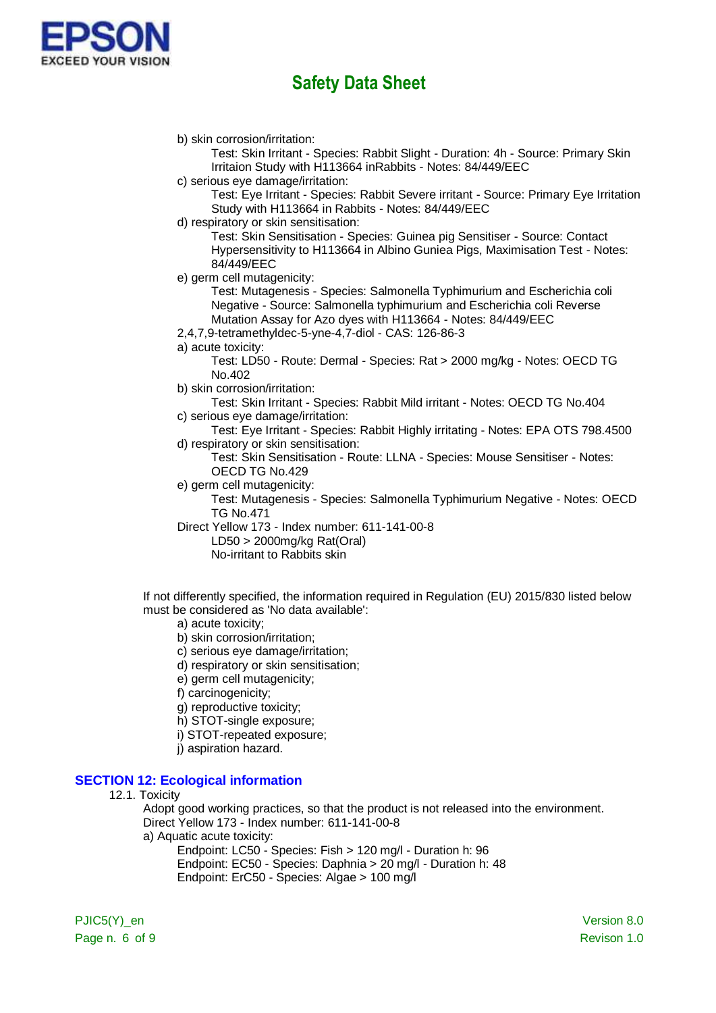

b) skin corrosion/irritation:

Test: Skin Irritant - Species: Rabbit Slight - Duration: 4h - Source: Primary Skin Irritaion Study with H113664 inRabbits - Notes: 84/449/EEC

c) serious eye damage/irritation:

Test: Eye Irritant - Species: Rabbit Severe irritant - Source: Primary Eye Irritation Study with H113664 in Rabbits - Notes: 84/449/EEC

d) respiratory or skin sensitisation:

Test: Skin Sensitisation - Species: Guinea pig Sensitiser - Source: Contact Hypersensitivity to H113664 in Albino Guniea Pigs, Maximisation Test - Notes: 84/449/EEC

e) germ cell mutagenicity:

Test: Mutagenesis - Species: Salmonella Typhimurium and Escherichia coli Negative - Source: Salmonella typhimurium and Escherichia coli Reverse Mutation Assay for Azo dyes with H113664 - Notes: 84/449/EEC

- 2,4,7,9-tetramethyldec-5-yne-4,7-diol CAS: 126-86-3
- a) acute toxicity:

Test: LD50 - Route: Dermal - Species: Rat > 2000 mg/kg - Notes: OECD TG No.402

- b) skin corrosion/irritation:
- Test: Skin Irritant Species: Rabbit Mild irritant Notes: OECD TG No.404 c) serious eye damage/irritation:
- Test: Eye Irritant Species: Rabbit Highly irritating Notes: EPA OTS 798.4500 d) respiratory or skin sensitisation:
	- Test: Skin Sensitisation Route: LLNA Species: Mouse Sensitiser Notes: OECD TG No.429
- e) germ cell mutagenicity:
	- Test: Mutagenesis Species: Salmonella Typhimurium Negative Notes: OECD TG No.471
- Direct Yellow 173 Index number: 611-141-00-8 LD50 > 2000mg/kg Rat(Oral)
	- No-irritant to Rabbits skin

If not differently specified, the information required in Regulation (EU) 2015/830 listed below must be considered as 'No data available':

- a) acute toxicity;
- b) skin corrosion/irritation;
- c) serious eye damage/irritation;
- d) respiratory or skin sensitisation;
- e) germ cell mutagenicity;
- f) carcinogenicity;
- g) reproductive toxicity;
- h) STOT-single exposure;
- i) STOT-repeated exposure;
- j) aspiration hazard.

### **SECTION 12: Ecological information**

#### 12.1. Toxicity

Adopt good working practices, so that the product is not released into the environment. Direct Yellow 173 - Index number: 611-141-00-8

- a) Aquatic acute toxicity:
	- Endpoint: LC50 Species: Fish > 120 mg/l Duration h: 96 Endpoint: EC50 - Species: Daphnia > 20 mg/l - Duration h: 48 Endpoint: ErC50 - Species: Algae > 100 mg/l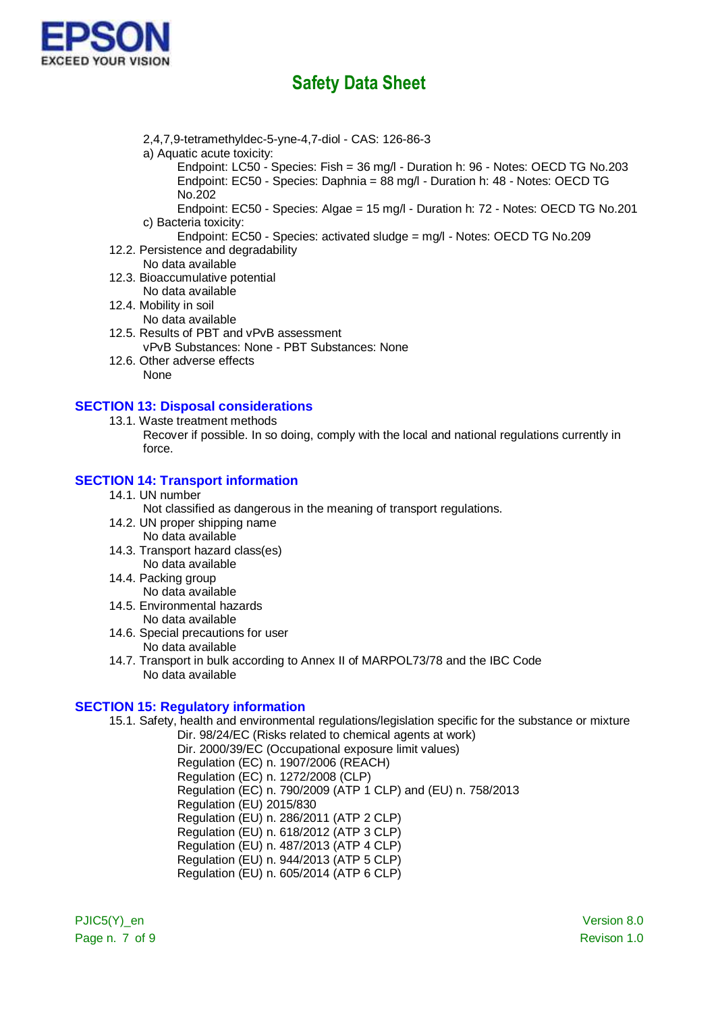

- 2,4,7,9-tetramethyldec-5-yne-4,7-diol CAS: 126-86-3
- a) Aquatic acute toxicity:

Endpoint: LC50 - Species: Fish = 36 mg/l - Duration h: 96 - Notes: OECD TG No.203 Endpoint: EC50 - Species: Daphnia = 88 mg/l - Duration h: 48 - Notes: OECD TG No.202

- Endpoint: EC50 Species: Algae = 15 mg/l Duration h: 72 Notes: OECD TG No.201 c) Bacteria toxicity:
- Endpoint: EC50 Species: activated sludge = mg/l Notes: OECD TG No.209 12.2. Persistence and degradability
- No data available
- 12.3. Bioaccumulative potential
- No data available
- 12.4. Mobility in soil No data available
- 12.5. Results of PBT and vPvB assessment vPvB Substances: None - PBT Substances: None
- 12.6. Other adverse effects None

### **SECTION 13: Disposal considerations**

13.1. Waste treatment methods

Recover if possible. In so doing, comply with the local and national regulations currently in force.

### **SECTION 14: Transport information**

14.1. UN number

Not classified as dangerous in the meaning of transport regulations.

- 14.2. UN proper shipping name No data available
- 14.3. Transport hazard class(es) No data available
- 14.4. Packing group No data available
- 14.5. Environmental hazards No data available
- 14.6. Special precautions for user No data available
- 14.7. Transport in bulk according to Annex II of MARPOL73/78 and the IBC Code No data available

### **SECTION 15: Regulatory information**

15.1. Safety, health and environmental regulations/legislation specific for the substance or mixture Dir. 98/24/EC (Risks related to chemical agents at work)

Dir. 2000/39/EC (Occupational exposure limit values) Regulation (EC) n. 1907/2006 (REACH) Regulation (EC) n. 1272/2008 (CLP) Regulation (EC) n. 790/2009 (ATP 1 CLP) and (EU) n. 758/2013 Regulation (EU) 2015/830 Regulation (EU) n. 286/2011 (ATP 2 CLP) Regulation (EU) n. 618/2012 (ATP 3 CLP) Regulation (EU) n. 487/2013 (ATP 4 CLP) Regulation (EU) n. 944/2013 (ATP 5 CLP) Regulation (EU) n. 605/2014 (ATP 6 CLP)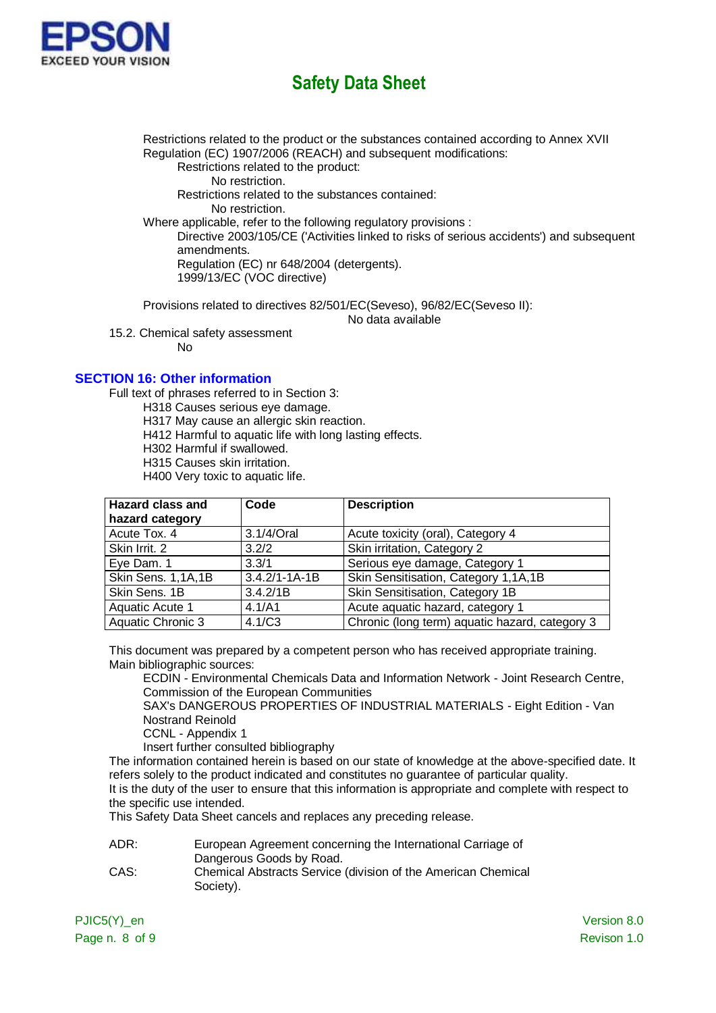

Restrictions related to the product or the substances contained according to Annex XVII Regulation (EC) 1907/2006 (REACH) and subsequent modifications: Restrictions related to the product:

No restriction.

Restrictions related to the substances contained:

No restriction.

Where applicable, refer to the following regulatory provisions :

Directive 2003/105/CE ('Activities linked to risks of serious accidents') and subsequent amendments.

Regulation (EC) nr 648/2004 (detergents). 1999/13/EC (VOC directive)

Provisions related to directives 82/501/EC(Seveso), 96/82/EC(Seveso II):

No data available

15.2. Chemical safety assessment No

#### **SECTION 16: Other information**

Full text of phrases referred to in Section 3:

H318 Causes serious eye damage.

H317 May cause an allergic skin reaction.

H412 Harmful to aquatic life with long lasting effects.

H302 Harmful if swallowed.

H315 Causes skin irritation.

H400 Very toxic to aquatic life.

| <b>Hazard class and</b> | Code                | <b>Description</b>                             |
|-------------------------|---------------------|------------------------------------------------|
| hazard category         |                     |                                                |
| Acute Tox. 4            | 3.1/4/Oral          | Acute toxicity (oral), Category 4              |
| Skin Irrit. 2           | 3.2/2               | Skin irritation, Category 2                    |
| Eye Dam. 1              | 3.3/1               | Serious eye damage, Category 1                 |
| Skin Sens. 1,1A,1B      | $3.4.2/1 - 1A - 1B$ | Skin Sensitisation, Category 1,1A,1B           |
| Skin Sens. 1B           | 3.4.2/1B            | Skin Sensitisation, Category 1B                |
| Aquatic Acute 1         | 4.1/A1              | Acute aquatic hazard, category 1               |
| Aquatic Chronic 3       | 4.1/C3              | Chronic (long term) aquatic hazard, category 3 |

This document was prepared by a competent person who has received appropriate training. Main bibliographic sources:

ECDIN - Environmental Chemicals Data and Information Network - Joint Research Centre, Commission of the European Communities

SAX's DANGEROUS PROPERTIES OF INDUSTRIAL MATERIALS - Eight Edition - Van Nostrand Reinold

CCNL - Appendix 1

Insert further consulted bibliography

The information contained herein is based on our state of knowledge at the above-specified date. It refers solely to the product indicated and constitutes no guarantee of particular quality. It is the duty of the user to ensure that this information is appropriate and complete with respect to the specific use intended.

This Safety Data Sheet cancels and replaces any preceding release.

| ADR: | European Agreement concerning the International Carriage of                |
|------|----------------------------------------------------------------------------|
|      | Dangerous Goods by Road.                                                   |
| CAS: | Chemical Abstracts Service (division of the American Chemical<br>Society). |